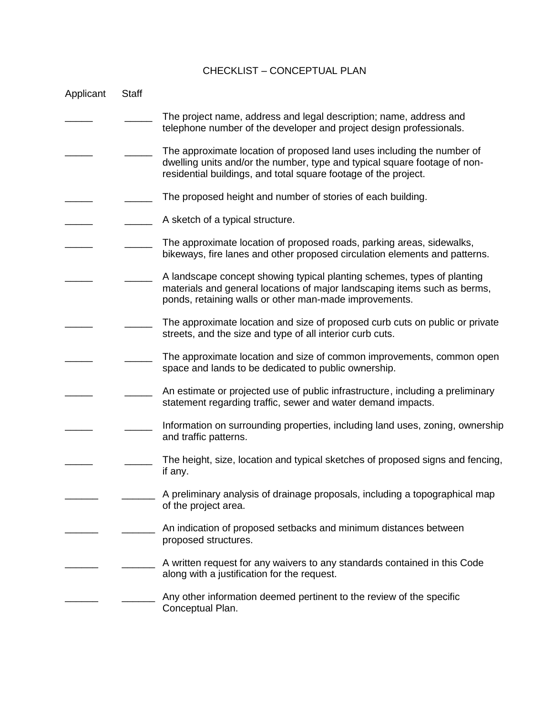## CHECKLIST – CONCEPTUAL PLAN

| Applicant | <b>Staff</b> |                                                                                                                                                                                                                        |
|-----------|--------------|------------------------------------------------------------------------------------------------------------------------------------------------------------------------------------------------------------------------|
|           |              | The project name, address and legal description; name, address and<br>telephone number of the developer and project design professionals.                                                                              |
|           |              | The approximate location of proposed land uses including the number of<br>dwelling units and/or the number, type and typical square footage of non-<br>residential buildings, and total square footage of the project. |
|           |              | The proposed height and number of stories of each building.                                                                                                                                                            |
|           |              | A sketch of a typical structure.                                                                                                                                                                                       |
|           |              | The approximate location of proposed roads, parking areas, sidewalks,<br>bikeways, fire lanes and other proposed circulation elements and patterns.                                                                    |
|           |              | A landscape concept showing typical planting schemes, types of planting<br>materials and general locations of major landscaping items such as berms,<br>ponds, retaining walls or other man-made improvements.         |
|           |              | The approximate location and size of proposed curb cuts on public or private<br>streets, and the size and type of all interior curb cuts.                                                                              |
|           |              | The approximate location and size of common improvements, common open<br>space and lands to be dedicated to public ownership.                                                                                          |
|           |              | An estimate or projected use of public infrastructure, including a preliminary<br>statement regarding traffic, sewer and water demand impacts.                                                                         |
|           |              | Information on surrounding properties, including land uses, zoning, ownership<br>and traffic patterns.                                                                                                                 |
|           |              | The height, size, location and typical sketches of proposed signs and fencing,<br>if any.                                                                                                                              |
|           |              | A preliminary analysis of drainage proposals, including a topographical map<br>of the project area.                                                                                                                    |
|           |              | An indication of proposed setbacks and minimum distances between<br>proposed structures.                                                                                                                               |
|           |              | A written request for any waivers to any standards contained in this Code<br>along with a justification for the request.                                                                                               |
|           |              | Any other information deemed pertinent to the review of the specific<br>Conceptual Plan.                                                                                                                               |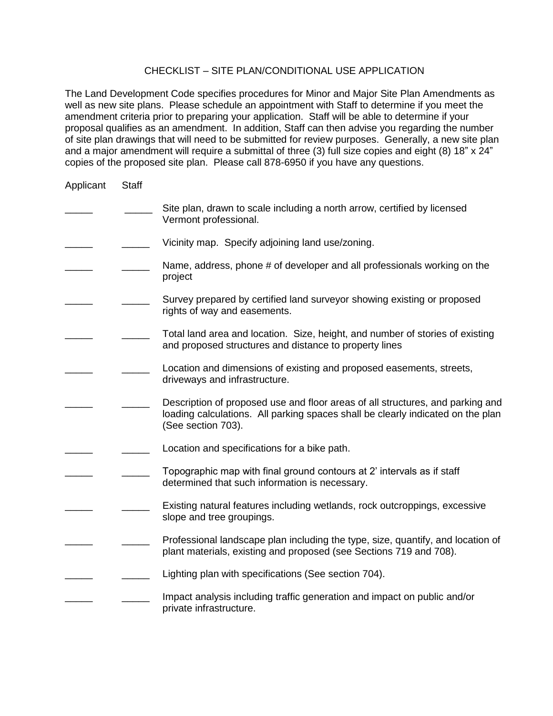## CHECKLIST – SITE PLAN/CONDITIONAL USE APPLICATION

The Land Development Code specifies procedures for Minor and Major Site Plan Amendments as well as new site plans. Please schedule an appointment with Staff to determine if you meet the amendment criteria prior to preparing your application. Staff will be able to determine if your proposal qualifies as an amendment. In addition, Staff can then advise you regarding the number of site plan drawings that will need to be submitted for review purposes. Generally, a new site plan and a major amendment will require a submittal of three (3) full size copies and eight (8) 18" x 24" copies of the proposed site plan. Please call 878-6950 if you have any questions.

| Applicant | <b>Staff</b> |                                                                                                                                                                                         |
|-----------|--------------|-----------------------------------------------------------------------------------------------------------------------------------------------------------------------------------------|
|           |              | Site plan, drawn to scale including a north arrow, certified by licensed<br>Vermont professional.                                                                                       |
|           |              | Vicinity map. Specify adjoining land use/zoning.                                                                                                                                        |
|           |              | Name, address, phone # of developer and all professionals working on the<br>project                                                                                                     |
|           |              | Survey prepared by certified land surveyor showing existing or proposed<br>rights of way and easements.                                                                                 |
|           |              | Total land area and location. Size, height, and number of stories of existing<br>and proposed structures and distance to property lines                                                 |
|           |              | Location and dimensions of existing and proposed easements, streets,<br>driveways and infrastructure.                                                                                   |
|           |              | Description of proposed use and floor areas of all structures, and parking and<br>loading calculations. All parking spaces shall be clearly indicated on the plan<br>(See section 703). |
|           |              | Location and specifications for a bike path.                                                                                                                                            |
|           |              | Topographic map with final ground contours at 2' intervals as if staff<br>determined that such information is necessary.                                                                |
|           |              | Existing natural features including wetlands, rock outcroppings, excessive<br>slope and tree groupings.                                                                                 |
|           |              | Professional landscape plan including the type, size, quantify, and location of<br>plant materials, existing and proposed (see Sections 719 and 708).                                   |
|           |              | Lighting plan with specifications (See section 704).                                                                                                                                    |
|           |              | Impact analysis including traffic generation and impact on public and/or<br>private infrastructure.                                                                                     |